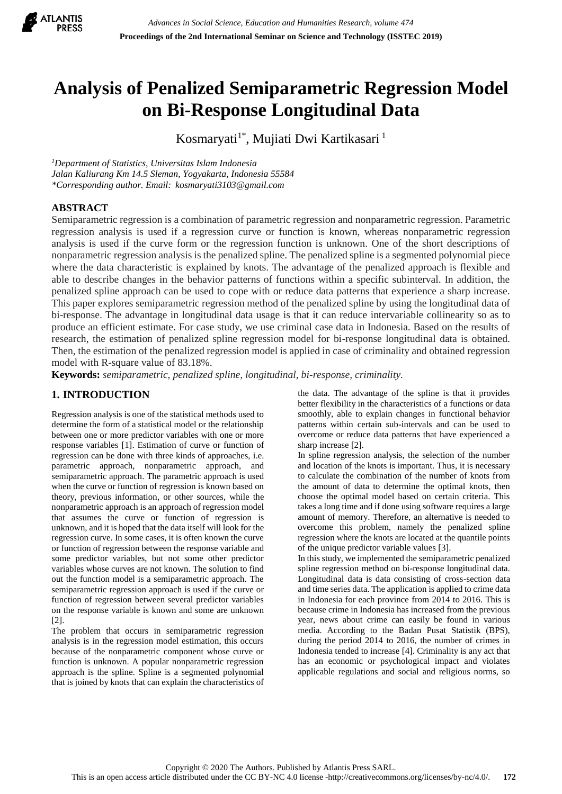

# **Analysis of Penalized Semiparametric Regression Model on Bi-Response Longitudinal Data**

Kosmaryati<sup>1\*</sup>, Mujiati Dwi Kartikasari<sup>1</sup>

*<sup>1</sup>Department of Statistics, Universitas Islam Indonesia Jalan Kaliurang Km 14.5 Sleman, Yogyakarta, Indonesia 55584 \*Corresponding author. Email: kosmaryati3103@gmail.com*

## **ABSTRACT**

Semiparametric regression is a combination of parametric regression and nonparametric regression. Parametric regression analysis is used if a regression curve or function is known, whereas nonparametric regression analysis is used if the curve form or the regression function is unknown. One of the short descriptions of nonparametric regression analysis is the penalized spline. The penalized spline is a segmented polynomial piece where the data characteristic is explained by knots. The advantage of the penalized approach is flexible and able to describe changes in the behavior patterns of functions within a specific subinterval. In addition, the penalized spline approach can be used to cope with or reduce data patterns that experience a sharp increase. This paper explores semiparametric regression method of the penalized spline by using the longitudinal data of bi-response. The advantage in longitudinal data usage is that it can reduce intervariable collinearity so as to produce an efficient estimate. For case study, we use criminal case data in Indonesia. Based on the results of research, the estimation of penalized spline regression model for bi-response longitudinal data is obtained. Then, the estimation of the penalized regression model is applied in case of criminality and obtained regression model with R-square value of 83.18%.

**Keywords:** *semiparametric, penalized spline, longitudinal, bi-response, criminality.*

## **1. INTRODUCTION**

Regression analysis is one of the statistical methods used to determine the form of a statistical model or the relationship between one or more predictor variables with one or more response variables [1]. Estimation of curve or function of regression can be done with three kinds of approaches, i.e. parametric approach, nonparametric approach, and semiparametric approach. The parametric approach is used when the curve or function of regression is known based on theory, previous information, or other sources, while the nonparametric approach is an approach of regression model that assumes the curve or function of regression is unknown, and it is hoped that the data itself will look for the regression curve. In some cases, it is often known the curve or function of regression between the response variable and some predictor variables, but not some other predictor variables whose curves are not known. The solution to find out the function model is a semiparametric approach. The semiparametric regression approach is used if the curve or function of regression between several predictor variables on the response variable is known and some are unknown [2].

The problem that occurs in semiparametric regression analysis is in the regression model estimation, this occurs because of the nonparametric component whose curve or function is unknown. A popular nonparametric regression approach is the spline. Spline is a segmented polynomial that is joined by knots that can explain the characteristics of the data. The advantage of the spline is that it provides better flexibility in the characteristics of a functions or data smoothly, able to explain changes in functional behavior patterns within certain sub-intervals and can be used to overcome or reduce data patterns that have experienced a sharp increase [2].

In spline regression analysis, the selection of the number and location of the knots is important. Thus, it is necessary to calculate the combination of the number of knots from the amount of data to determine the optimal knots, then choose the optimal model based on certain criteria. This takes a long time and if done using software requires a large amount of memory. Therefore, an alternative is needed to overcome this problem, namely the penalized spline regression where the knots are located at the quantile points of the unique predictor variable values [3].

In this study, we implemented the semiparametric penalized spline regression method on bi-response longitudinal data. Longitudinal data is data consisting of cross-section data and time series data. The application is applied to crime data in Indonesia for each province from 2014 to 2016. This is because crime in Indonesia has increased from the previous year, news about crime can easily be found in various media. According to the Badan Pusat Statistik (BPS), during the period 2014 to 2016, the number of crimes in Indonesia tended to increase [4]. Criminality is any act that has an economic or psychological impact and violates applicable regulations and social and religious norms, so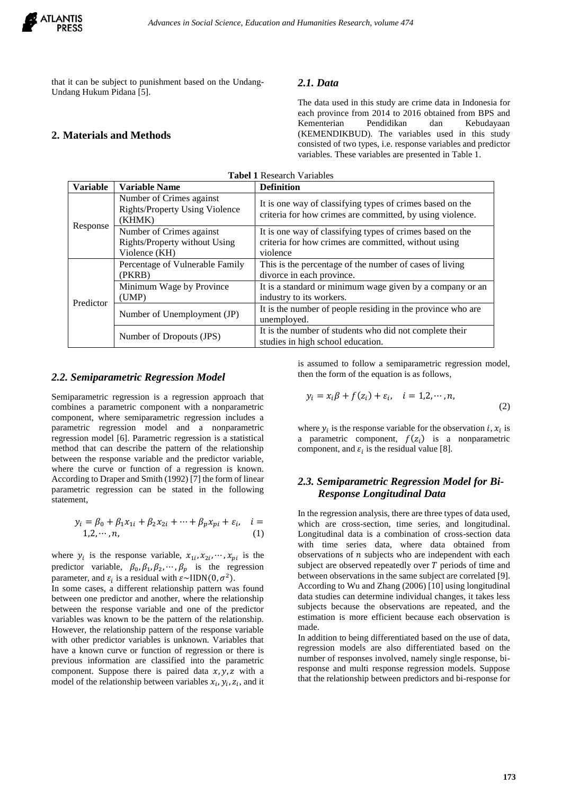that it can be subject to punishment based on the Undang-Undang Hukum Pidana [5].

## **2. Materials and Methods**

## *2.1. Data*

The data used in this study are crime data in Indonesia for each province from 2014 to 2016 obtained from BPS and Kementerian Pendidikan dan Kebudayaan (KEMENDIKBUD). The variables used in this study consisted of two types, i.e. response variables and predictor variables. These variables are presented in Table 1.

| <b>Tabel 1 Research Variables</b> |                                                                             |                                                                                                                        |  |  |
|-----------------------------------|-----------------------------------------------------------------------------|------------------------------------------------------------------------------------------------------------------------|--|--|
| <b>Variable</b>                   | <b>Variable Name</b>                                                        | <b>Definition</b>                                                                                                      |  |  |
| Response                          | Number of Crimes against<br><b>Rights/Property Using Violence</b><br>(KHMK) | It is one way of classifying types of crimes based on the<br>criteria for how crimes are committed, by using violence. |  |  |
|                                   | Number of Crimes against                                                    | It is one way of classifying types of crimes based on the                                                              |  |  |
|                                   | Rights/Property without Using                                               | criteria for how crimes are committed, without using                                                                   |  |  |
|                                   | Violence (KH)                                                               | violence                                                                                                               |  |  |
| Predictor                         | Percentage of Vulnerable Family                                             | This is the percentage of the number of cases of living                                                                |  |  |
|                                   | (PKRB)                                                                      | divorce in each province.                                                                                              |  |  |
|                                   | Minimum Wage by Province                                                    | It is a standard or minimum wage given by a company or an                                                              |  |  |
|                                   | (UMP)                                                                       | industry to its workers.                                                                                               |  |  |
|                                   | Number of Unemployment (JP)                                                 | It is the number of people residing in the province who are                                                            |  |  |
|                                   |                                                                             | unemployed.                                                                                                            |  |  |
|                                   | Number of Dropouts (JPS)                                                    | It is the number of students who did not complete their                                                                |  |  |
|                                   |                                                                             | studies in high school education.                                                                                      |  |  |

#### *2.2. Semiparametric Regression Model*

Semiparametric regression is a regression approach that combines a parametric component with a nonparametric component, where semiparametric regression includes a parametric regression model and a nonparametric regression model [6]. Parametric regression is a statistical method that can describe the pattern of the relationship between the response variable and the predictor variable, where the curve or function of a regression is known. According to Draper and Smith (1992) [7] the form of linear parametric regression can be stated in the following statement,

$$
y_i = \beta_0 + \beta_1 x_{1i} + \beta_2 x_{2i} + \dots + \beta_p x_{pi} + \varepsilon_i, \quad i = 1, 2, \dots, n,
$$
 (1)

where  $y_i$  is the response variable,  $x_{1i}, x_{2i}, \dots, x_{pi}$  is the predictor variable,  $\beta_0$ ,  $\beta_1$ ,  $\beta_2$ ,  $\dots$ ,  $\beta_p$  is the regression parameter, and  $\varepsilon_i$  is a residual with  $\varepsilon \sim \text{HDN}(0, \sigma^2)$ .

In some cases, a different relationship pattern was found between one predictor and another, where the relationship between the response variable and one of the predictor variables was known to be the pattern of the relationship. However, the relationship pattern of the response variable with other predictor variables is unknown. Variables that have a known curve or function of regression or there is previous information are classified into the parametric component. Suppose there is paired data  $x, y, z$  with a model of the relationship between variables  $x_i$ ,  $y_i$ ,  $z_i$ , and it is assumed to follow a semiparametric regression model, then the form of the equation is as follows,

$$
y_i = x_i \beta + f(z_i) + \varepsilon_i, \quad i = 1, 2, \cdots, n,
$$
\n<sup>(2)</sup>

where  $y_i$  is the response variable for the observation *i*,  $x_i$  is a parametric component,  $f(z_i)$  is a nonparametric component, and  $\varepsilon_i$  is the residual value [8].

## *2.3. Semiparametric Regression Model for Bi-Response Longitudinal Data*

In the regression analysis, there are three types of data used, which are cross-section, time series, and longitudinal. Longitudinal data is a combination of cross-section data with time series data, where data obtained from observations of  $n$  subjects who are independent with each subject are observed repeatedly over  $T$  periods of time and between observations in the same subject are correlated [9]. According to Wu and Zhang (2006) [10] using longitudinal data studies can determine individual changes, it takes less subjects because the observations are repeated, and the estimation is more efficient because each observation is made.

In addition to being differentiated based on the use of data, regression models are also differentiated based on the number of responses involved, namely single response, biresponse and multi response regression models. Suppose that the relationship between predictors and bi-response for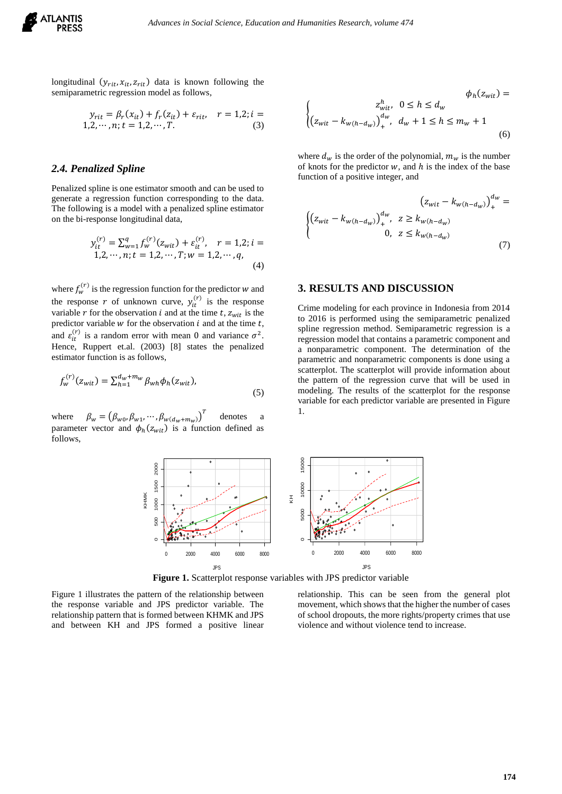

longitudinal  $(y_{rit}, x_{it}, z_{rit})$  data is known following the semiparametric regression model as follows,

$$
y_{rit} = \beta_r(x_{it}) + f_r(z_{it}) + \varepsilon_{rit}, \quad r = 1,2; i = 1,2,\cdots,n; t = 1,2,\cdots,T.
$$
 (3)

#### *2.4. Penalized Spline*

Penalized spline is one estimator smooth and can be used to generate a regression function corresponding to the data. The following is a model with a penalized spline estimator on the bi-response longitudinal data,

$$
y_{it}^{(r)} = \sum_{w=1}^{q} f_w^{(r)}(z_{wit}) + \varepsilon_{it}^{(r)}, \quad r = 1, 2; i = 1, 2, \cdots, n; t = 1, 2, \cdots, T; w = 1, 2, \cdots, q,
$$
\n(4)

where  $f_w^{(r)}$  is the regression function for the predictor w and the response r of unknown curve,  $y_{it}^{(r)}$  is the response variable  $r$  for the observation  $i$  and at the time  $t$ ,  $z_{wit}$  is the predictor variable  $w$  for the observation  $i$  and at the time  $t$ , and  $\varepsilon_{it}^{(r)}$  is a random error with mean 0 and variance  $\sigma^2$ . Hence, Ruppert et.al. (2003) [8] states the penalized estimator function is as follows,

$$
f_w^{(r)}(z_{wit}) = \sum_{h=1}^{d_w + m_w} \beta_{wh} \phi_h(z_{wit}),
$$
\n(5)

where  $\beta_w = (\beta_{w0}, \beta_{w1}, \cdots, \beta_{w(d_w + m_w)})^T$ denotes a parameter vector and  $\phi_h(z_{wit})$  is a function defined as follows,

$$
\phi_h(z_{wit}) =
$$
  

$$
\begin{cases} z_{wit}^h, & 0 \le h \le d_w \\ (z_{wit} - k_{w(h - d_w)})_+^{d_w}, & d_w + 1 \le h \le m_w + 1 \end{cases}
$$
 (6)

where  $d_w$  is the order of the polynomial,  $m_w$  is the number of knots for the predictor  $w$ , and  $h$  is the index of the base function of a positive integer, and

$$
(z_{wit} - k_{w(h - d_w)})_+^{d_w} =
$$
  

$$
\begin{cases} (z_{wit} - k_{w(h - d_w)})_+^{d_w}, & z \ge k_{w(h - d_w)} \\ 0, & z \le k_{w(h - d_w)} \end{cases}
$$
 (7)

## **3. RESULTS AND DISCUSSION**

Crime modeling for each province in Indonesia from 2014 to 2016 is performed using the semiparametric penalized spline regression method. Semiparametric regression is a regression model that contains a parametric component and a nonparametric component. The determination of the parametric and nonparametric components is done using a scatterplot. The scatterplot will provide information about the pattern of the regression curve that will be used in modeling. The results of the scatterplot for the response variable for each predictor variable are presented in Figure 1.



Figure 1 illustrates the pattern of the relationship between the response variable and JPS predictor variable. The relationship pattern that is formed between KHMK and JPS and between KH and JPS formed a positive linear relationship. This can be seen from the general plot movement, which shows that the higher the number of cases of school dropouts, the more rights/property crimes that use violence and without violence tend to increase.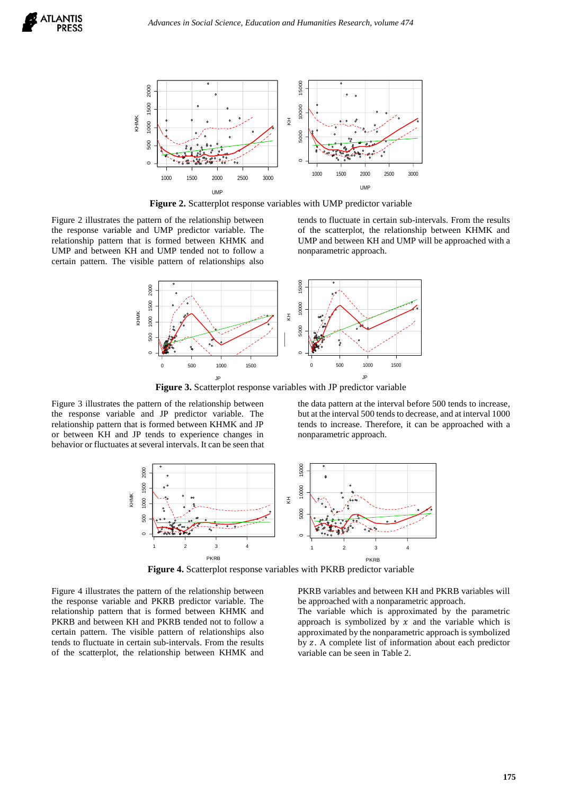

**Figure 2.** Scatterplot response variables with UMP predictor variable

Figure 2 illustrates the pattern of the relationship between the response variable and UMP predictor variable. The relationship pattern that is formed between KHMK and UMP and between KH and UMP tended not to follow a certain pattern. The visible pattern of relationships also

tends to fluctuate in certain sub-intervals. From the results of the scatterplot, the relationship between KHMK and UMP and between KH and UMP will be approached with a nonparametric approach.



**Figure 3.** Scatterplot response variables with JP predictor variable

Figure 3 illustrates the pattern of the relationship between the response variable and JP predictor variable. The relationship pattern that is formed between KHMK and JP or between KH and JP tends to experience changes in behavior or fluctuates at several intervals. It can be seen that the data pattern at the interval before 500 tends to increase, but at the interval 500 tends to decrease, and at interval 1000 tends to increase. Therefore, it can be approached with a nonparametric approach.



**Figure 4.** Scatterplot response variables with PKRB predictor variable

Figure 4 illustrates the pattern of the relationship between the response variable and PKRB predictor variable. The relationship pattern that is formed between KHMK and PKRB and between KH and PKRB tended not to follow a certain pattern. The visible pattern of relationships also tends to fluctuate in certain sub-intervals. From the results of the scatterplot, the relationship between KHMK and

PKRB variables and between KH and PKRB variables will be approached with a nonparametric approach. The variable which is approximated by the parametric approach is symbolized by  $x$  and the variable which is

approximated by the nonparametric approach is symbolized by z. A complete list of information about each predictor variable can be seen in Table 2.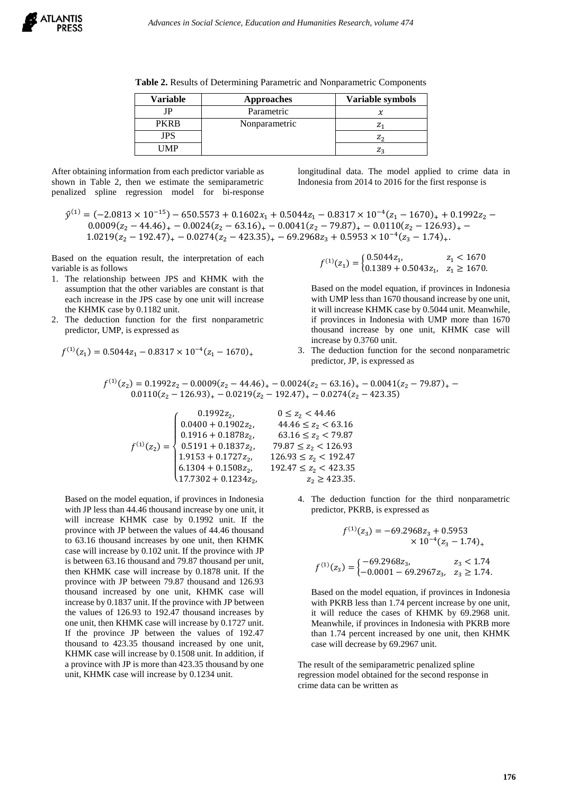**Table 2.** Results of Determining Parametric and Nonparametric Components

| <b>Variable</b> | <b>Approaches</b> | Variable symbols |
|-----------------|-------------------|------------------|
| <b>IP</b>       | Parametric        |                  |
| <b>PKRR</b>     | Nonparametric     |                  |
| JPS             |                   | $Z_2$            |
| MP              |                   |                  |

After obtaining information from each predictor variable as shown in Table 2, then we estimate the semiparametric penalized spline regression model for bi-response longitudinal data. The model applied to crime data in Indonesia from 2014 to 2016 for the first response is

 $\hat{y}^{(1)} = (-2.0813 \times 10^{-15}) - 650.5573 + 0.1602x_1 + 0.5044z_1 - 0.8317 \times 10^{-4}(z_1 - 1670)_{+} + 0.1992z_2 0.0009(z_2 - 44.46)_{+} - 0.0024(z_2 - 63.16)_{+} - 0.0041(z_2 - 79.87)_{+} - 0.0110(z_2 - 126.93)_{+} 1.0219(z_2 - 192.47)_+ - 0.0274(z_2 - 423.35)_+ - 69.2968z_3 + 0.5953 \times 10^{-4}(z_3 - 1.74)_+.$ 

Based on the equation result, the interpretation of each variable is as follows

- 1. The relationship between JPS and KHMK with the assumption that the other variables are constant is that each increase in the JPS case by one unit will increase the KHMK case by 0.1182 unit.
- 2. The deduction function for the first nonparametric predictor, UMP, is expressed as

$$
f^{(1)}(z_1) = 0.5044z_1 - 0.8317 \times 10^{-4} (z_1 - 1670)_+
$$

$$
f^{(1)}(z_1) = \begin{cases} 0.5044z_1, & z_1 < 1670 \\ 0.1389 + 0.5043z_1, & z_1 \ge 1670. \end{cases}
$$

Based on the model equation, if provinces in Indonesia with UMP less than 1670 thousand increase by one unit, it will increase KHMK case by 0.5044 unit. Meanwhile, if provinces in Indonesia with UMP more than 1670 thousand increase by one unit, KHMK case will increase by 0.3760 unit.

3. The deduction function for the second nonparametric predictor, JP, is expressed as

$$
f^{(1)}(z_2) = 0.1992z_2 - 0.0009(z_2 - 44.46)_{+} - 0.0024(z_2 - 63.16)_{+} - 0.0041(z_2 - 79.87)_{+} - 0.0110(z_2 - 126.93)_{+} - 0.0219(z_2 - 192.47)_{+} - 0.0274(z_2 - 423.35)
$$

$$
f^{(1)}(z_2) = \begin{cases} 0.1992z_2, & 0 \leq z_2 < 44.46 \\ 0.0400 + 0.1902z_2, & 44.46 \leq z_2 < 63. \\ 0.1916 + 0.1878z_2, & 63.16 \leq z_2 < 79. \\ 0.5191 + 0.1837z_2, & 79.87 \leq z_2 < 126. \\ 1.9153 + 0.1727z_2, & 126.93 \leq z_2 < 192. \\ 6.1304 + 0.1508z_2, & 192.47 \leq z_2 < 423. \\ 17.7302 + 0.1234z_2, & z_2 \geq 423. \end{cases}
$$

Based on the model equation, if provinces in Indonesia with JP less than 44.46 thousand increase by one unit, it will increase KHMK case by 0.1992 unit. If the province with JP between the values of 44.46 thousand to 63.16 thousand increases by one unit, then KHMK case will increase by 0.102 unit. If the province with JP is between 63.16 thousand and 79.87 thousand per unit, then KHMK case will increase by 0.1878 unit. If the province with JP between 79.87 thousand and 126.93 thousand increased by one unit, KHMK case will increase by 0.1837 unit. If the province with JP between the values of 126.93 to 192.47 thousand increases by one unit, then KHMK case will increase by 0.1727 unit. If the province JP between the values of 192.47 thousand to 423.35 thousand increased by one unit, KHMK case will increase by 0.1508 unit. In addition, if a province with JP is more than 423.35 thousand by one unit, KHMK case will increase by 0.1234 unit.

- ,  $44.46 \le z_2 < 63.16$ ,  $63.16 \le z_2 < 79.87$ ,  $79.87 \le z_2 < 126.93$  $, \qquad 126.93 \leq z_2 < 192.47$  $, \qquad 192.47 \leq z_2 < 423.35$ ,  $z_2 \ge 423.35$ .
	- 4. The deduction function for the third nonparametric predictor, PKRB, is expressed as

$$
f^{(1)}(z_3) = -69.2968z_3 + 0.5953
$$
  
\n
$$
\times 10^{-4} (z_3 - 1.74)_+
$$
  
\n
$$
f^{(1)}(z_3) = \begin{cases} -69.2968z_3, & z_3 < 1.74 \\ -0.0001 - 69.2967z_3, & z_3 \ge 1.74. \end{cases}
$$

Based on the model equation, if provinces in Indonesia with PKRB less than 1.74 percent increase by one unit, it will reduce the cases of KHMK by 69.2968 unit. Meanwhile, if provinces in Indonesia with PKRB more than 1.74 percent increased by one unit, then KHMK case will decrease by 69.2967 unit.

The result of the semiparametric penalized spline regression model obtained for the second response in crime data can be written as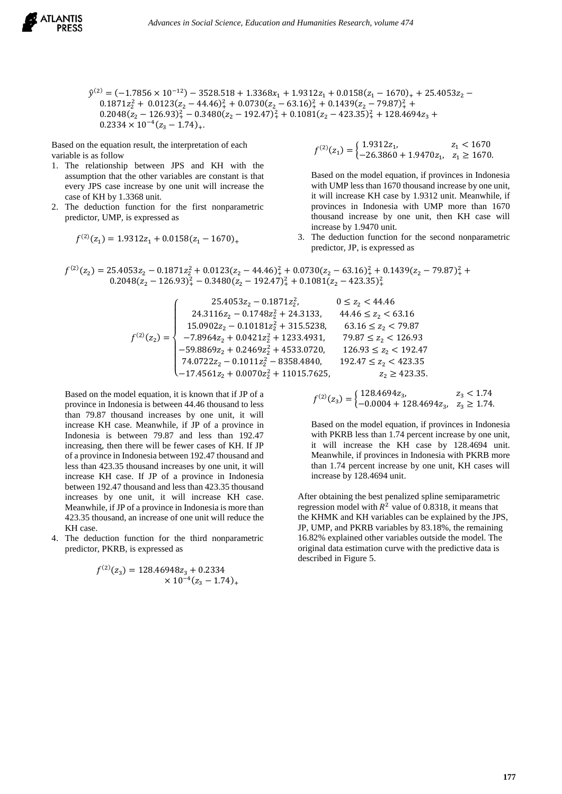

 $\hat{y}^{(2)} = (-1.7856 \times 10^{-12}) - 3528.518 + 1.3368x_1 + 1.9312z_1 + 0.0158(z_1 - 1670)_+ + 25.4053z_2$  $0.1871z_2^2 + 0.0123(z_2 - 44.46)_+^2 + 0.0730(z_2 - 63.16)_+^2 + 0.1439(z_2 - 79.87)_+^2 +$  $0.2048(z_2 - 126.93)_+^2 - 0.3480(z_2 - 192.47)_+^2 + 0.1081(z_2 - 423.35)_+^2 + 128.4694z_3 +$  $0.2334 \times 10^{-4} (z_3 - 1.74)_{+}.$ 

Based on the equation result, the interpretation of each variable is as follow

- 1. The relationship between JPS and KH with the assumption that the other variables are constant is that every JPS case increase by one unit will increase the case of KH by 1.3368 unit.
- 2. The deduction function for the first nonparametric predictor, UMP, is expressed as

$$
f^{(2)}(z_1) = 1.9312z_1 + 0.0158(z_1 - 1670)_+
$$

$$
f^{(2)}(z_1) = \begin{cases} 1.9312z_1, & z_1 < 1670 \\ -26.3860 + 1.9470z_1, & z_1 \ge 1670. \end{cases}
$$

Based on the model equation, if provinces in Indonesia with UMP less than 1670 thousand increase by one unit, it will increase KH case by 1.9312 unit. Meanwhile, if provinces in Indonesia with UMP more than 1670 thousand increase by one unit, then KH case will increase by 1.9470 unit.

3. The deduction function for the second nonparametric predictor, JP, is expressed as

$$
f^{(2)}(z_2) = 25.4053z_2 - 0.1871z_2^2 + 0.0123(z_2 - 44.46)^2 + 0.0730(z_2 - 63.16)^2 + 0.1439(z_2 - 79.87)^2 + 0.2048(z_2 - 126.93)^2 + 0.3480(z_2 - 192.47)^2 + 0.1081(z_2 - 423.35)^2 + 0.1081(z_2 - 423.35)^2
$$

$$
f^{(2)}(z_2) = \left\{ \begin{array}{ll} 25.4053 z_2 - 0.1871 z_2^2, & 0 \leq z_2 < 44.46 \\ 24.3116 z_2 - 0.1748 z_2^2 + 24.3133, & 44.46 \leq z_2 < 63.16 \\ 15.0902 z_2 - 0.10181 z_2^2 + 315.5238, & 63.16 \leq z_2 < 79.87 \\ -7.8964 z_2 + 0.0421 z_2^2 + 1233.4931, & 79.87 \leq z_2 < 126.93 \\ -59.8869 z_2 + 0.2469 z_2^2 + 4533.0720, & 126.93 \leq z_2 < 192.47 \\ 74.0722 z_2 - 0.1011 z_2^2 - 8358.4840, & 192.47 \leq z_2 < 423.35 \\ -17.4561 z_2 + 0.0070 z_2^2 + 11015.7625, & z_2 \geq 423.35. \end{array} \right.
$$

Based on the model equation, it is known that if JP of a province in Indonesia is between 44.46 thousand to less than 79.87 thousand increases by one unit, it will increase KH case. Meanwhile, if JP of a province in Indonesia is between 79.87 and less than 192.47 increasing, then there will be fewer cases of KH. If JP of a province in Indonesia between 192.47 thousand and less than 423.35 thousand increases by one unit, it will increase KH case. If JP of a province in Indonesia between 192.47 thousand and less than 423.35 thousand increases by one unit, it will increase KH case. Meanwhile, if JP of a province in Indonesia is more than 423.35 thousand, an increase of one unit will reduce the KH case.

4. The deduction function for the third nonparametric predictor, PKRB, is expressed as

$$
f^{(2)}(z_3) = 128.46948z_3 + 0.2334
$$
  
× 10<sup>-4</sup>(z<sub>3</sub> - 1.74)<sub>+</sub>

$$
f^{(2)}(z_3) = \begin{cases} 128.4694z_3, & z_3 < 1.74 \\ -0.0004 + 128.4694z_3, & z_3 \ge 1.74. \end{cases}
$$

Based on the model equation, if provinces in Indonesia with PKRB less than 1.74 percent increase by one unit, it will increase the KH case by 128.4694 unit. Meanwhile, if provinces in Indonesia with PKRB more than 1.74 percent increase by one unit, KH cases will increase by 128.4694 unit.

After obtaining the best penalized spline semiparametric regression model with  $R^2$  value of 0.8318, it means that the KHMK and KH variables can be explained by the JPS, JP, UMP, and PKRB variables by 83.18%, the remaining 16.82% explained other variables outside the model. The original data estimation curve with the predictive data is described in Figure 5.